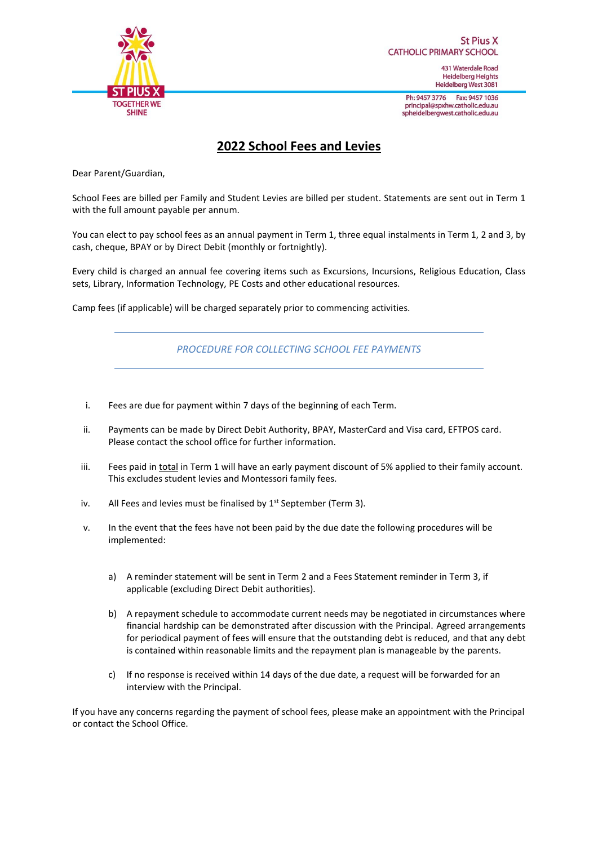

**St Pius X CATHOLIC PRIMARY SCHOOL** 

> 431 Waterdale Road **Heidelberg Heights** Heidelberg West 3081

Ph: 9457 3776 Fax: 9457 1036 principal@spxhw.catholic.edu.au spheidelbergwest.catholic.edu.au

# **2022 School Fees and Levies**

Dear Parent/Guardian,

School Fees are billed per Family and Student Levies are billed per student. Statements are sent out in Term 1 with the full amount payable per annum.

You can elect to pay school fees as an annual payment in Term 1, three equal instalments in Term 1, 2 and 3, by cash, cheque, BPAY or by Direct Debit (monthly or fortnightly).

Every child is charged an annual fee covering items such as Excursions, Incursions, Religious Education, Class sets, Library, Information Technology, PE Costs and other educational resources.

Camp fees (if applicable) will be charged separately prior to commencing activities.

*PROCEDURE FOR COLLECTING SCHOOL FEE PAYMENTS*

- i. Fees are due for payment within 7 days of the beginning of each Term.
- ii. Payments can be made by Direct Debit Authority, BPAY, MasterCard and Visa card, EFTPOS card. Please contact the school office for further information.
- iii. Fees paid in total in Term 1 will have an early payment discount of 5% applied to their family account. This excludes student levies and Montessori family fees.
- iv. All Fees and levies must be finalised by  $1<sup>st</sup>$  September (Term 3).
- v. In the event that the fees have not been paid by the due date the following procedures will be implemented:
	- a) A reminder statement will be sent in Term 2 and a Fees Statement reminder in Term 3, if applicable (excluding Direct Debit authorities).
	- b) A repayment schedule to accommodate current needs may be negotiated in circumstances where financial hardship can be demonstrated after discussion with the Principal. Agreed arrangements for periodical payment of fees will ensure that the outstanding debt is reduced, and that any debt is contained within reasonable limits and the repayment plan is manageable by the parents.
	- c) If no response is received within 14 days of the due date, a request will be forwarded for an interview with the Principal.

If you have any concerns regarding the payment of school fees, please make an appointment with the Principal or contact the School Office.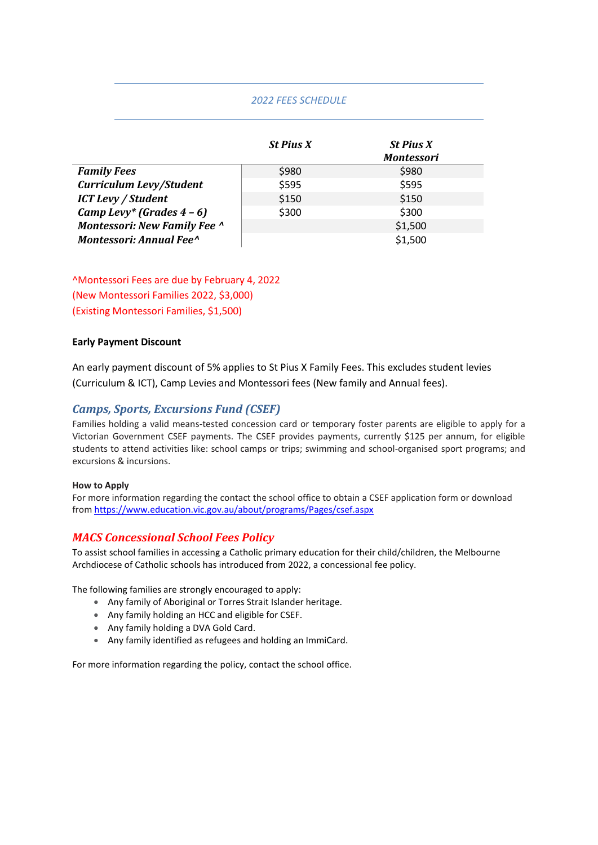## *2022 FEES SCHEDULE*

|                                     | <b>St Pius X</b> | <b>St Pius X</b><br><b>Montessori</b> |
|-------------------------------------|------------------|---------------------------------------|
| <b>Family Fees</b>                  | \$980            | \$980                                 |
| Curriculum Levy/Student             | \$595            | \$595                                 |
| <b>ICT Levy / Student</b>           | \$150            | \$150                                 |
| Camp Levy* (Grades $4-6$ )          | \$300            | \$300                                 |
| <b>Montessori: New Family Fee ^</b> |                  | \$1,500                               |
| Montessori: Annual Fee <sup>^</sup> |                  | \$1,500                               |

^Montessori Fees are due by February 4, 2022 (New Montessori Families 2022, \$3,000) (Existing Montessori Families, \$1,500)

#### **Early Payment Discount**

An early payment discount of 5% applies to St Pius X Family Fees. This excludes student levies (Curriculum & ICT), Camp Levies and Montessori fees (New family and Annual fees).

## *Camps, Sports, Excursions Fund (CSEF)*

Families holding a valid means-tested concession card or temporary foster parents are eligible to apply for a Victorian Government CSEF payments. The CSEF provides payments, currently \$125 per annum, for eligible students to attend activities like: school camps or trips; swimming and school-organised sport programs; and excursions & incursions.

#### **How to Apply**

For more information regarding the contact the school office to obtain a CSEF application form or download from<https://www.education.vic.gov.au/about/programs/Pages/csef.aspx>

## *MACS Concessional School Fees Policy*

To assist school families in accessing a Catholic primary education for their child/children, the Melbourne Archdiocese of Catholic schools has introduced from 2022, a concessional fee policy.

The following families are strongly encouraged to apply:

- Any family of Aboriginal or Torres Strait Islander heritage.
- Any family holding an HCC and eligible for CSEF.
- Any family holding a DVA Gold Card.
- Any family identified as refugees and holding an ImmiCard.

For more information regarding the policy, contact the school office.